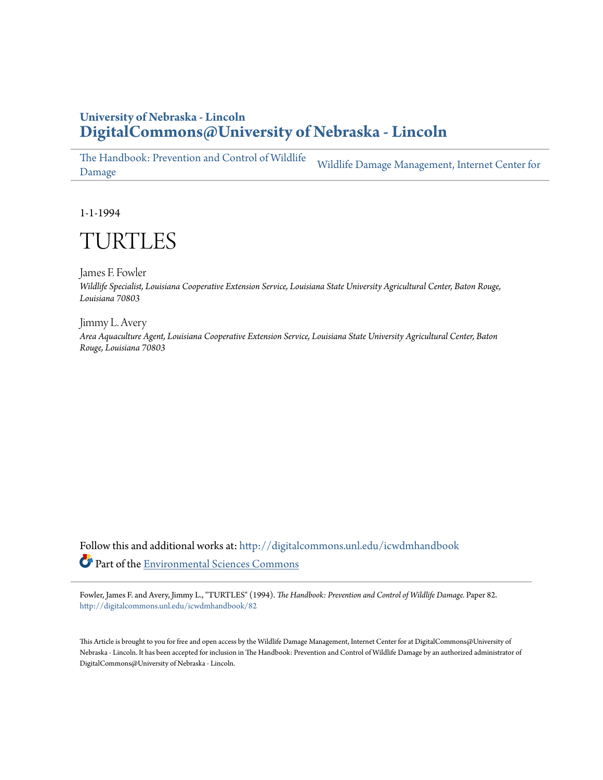# **University of Nebraska - Lincoln [DigitalCommons@University of Nebraska - Lincoln](http://digitalcommons.unl.edu?utm_source=digitalcommons.unl.edu%2Ficwdmhandbook%2F82&utm_medium=PDF&utm_campaign=PDFCoverPages)**

[The Handbook: Prevention and Control of Wildlife](http://digitalcommons.unl.edu/icwdmhandbook?utm_source=digitalcommons.unl.edu%2Ficwdmhandbook%2F82&utm_medium=PDF&utm_campaign=PDFCoverPages) [Damage](http://digitalcommons.unl.edu/icwdmhandbook?utm_source=digitalcommons.unl.edu%2Ficwdmhandbook%2F82&utm_medium=PDF&utm_campaign=PDFCoverPages) [Wildlife Damage Management, Internet Center for](http://digitalcommons.unl.edu/icwdm?utm_source=digitalcommons.unl.edu%2Ficwdmhandbook%2F82&utm_medium=PDF&utm_campaign=PDFCoverPages)

1-1-1994

# TURTLES

James F. Fowler *Wildlife Specialist, Louisiana Cooperative Extension Service, Louisiana State University Agricultural Center, Baton Rouge, Louisiana 70803*

Jimmy L. Avery *Area Aquaculture Agent, Louisiana Cooperative Extension Service, Louisiana State University Agricultural Center, Baton Rouge, Louisiana 70803*

Follow this and additional works at: [http://digitalcommons.unl.edu/icwdmhandbook](http://digitalcommons.unl.edu/icwdmhandbook?utm_source=digitalcommons.unl.edu%2Ficwdmhandbook%2F82&utm_medium=PDF&utm_campaign=PDFCoverPages) Part of the [Environmental Sciences Commons](http://network.bepress.com/hgg/discipline/167?utm_source=digitalcommons.unl.edu%2Ficwdmhandbook%2F82&utm_medium=PDF&utm_campaign=PDFCoverPages)

Fowler, James F. and Avery, Jimmy L., "TURTLES" (1994). *The Handbook: Prevention and Control of Wildlife Damage.* Paper 82. [http://digitalcommons.unl.edu/icwdmhandbook/82](http://digitalcommons.unl.edu/icwdmhandbook/82?utm_source=digitalcommons.unl.edu%2Ficwdmhandbook%2F82&utm_medium=PDF&utm_campaign=PDFCoverPages)

This Article is brought to you for free and open access by the Wildlife Damage Management, Internet Center for at DigitalCommons@University of Nebraska - Lincoln. It has been accepted for inclusion in The Handbook: Prevention and Control of Wildlife Damage by an authorized administrator of DigitalCommons@University of Nebraska - Lincoln.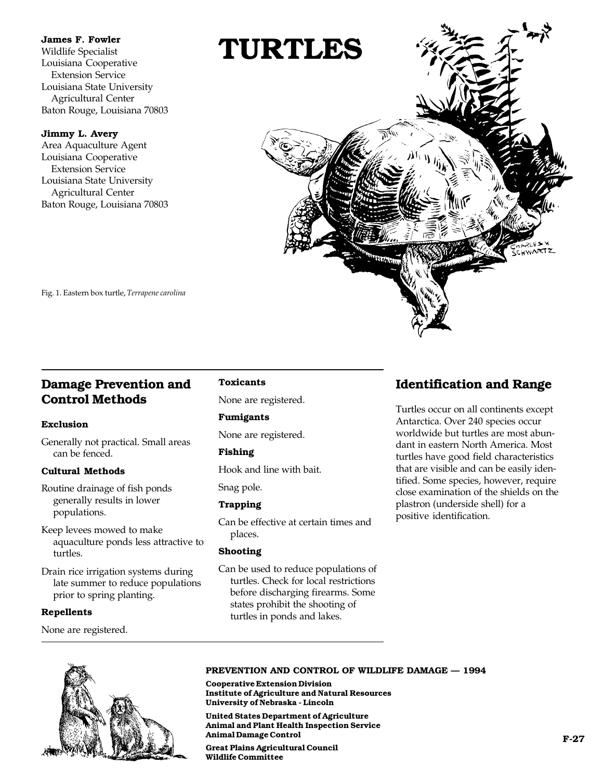#### **James F. Fowler**

Wildlife Specialist Louisiana Cooperative Extension Service Louisiana State University Agricultural Center Baton Rouge, Louisiana 70803

#### **Jimmy L. Avery**

Area Aquaculture Agent Louisiana Cooperative Extension Service Louisiana State University Agricultural Center Baton Rouge, Louisiana 70803



Fig. 1. Eastern box turtle, *Terrapene carolina*

# **Damage Prevention and Control Methods**

### **Exclusion**

Generally not practical. Small areas can be fenced.

### **Cultural Methods**

- Routine drainage of fish ponds generally results in lower populations.
- Keep levees mowed to make aquaculture ponds less attractive to turtles.

Drain rice irrigation systems during late summer to reduce populations prior to spring planting.

### **Repellents**

None are registered.

### **Toxicants**

None are registered.

### **Fumigants**

None are registered.

### **Fishing**

Hook and line with bait.

Snag pole.

### **Trapping**

Can be effective at certain times and places.

### **Shooting**

Can be used to reduce populations of turtles. Check for local restrictions before discharging firearms. Some states prohibit the shooting of turtles in ponds and lakes.

# **Identification and Range**

Turtles occur on all continents except Antarctica. Over 240 species occur worldwide but turtles are most abundant in eastern North America. Most turtles have good field characteristics that are visible and can be easily identified. Some species, however, require close examination of the shields on the plastron (underside shell) for a positive identification.



#### **PREVENTION AND CONTROL OF WILDLIFE DAMAGE — 1994**

**Cooperative Extension Division Institute of Agriculture and Natural Resources University of Nebraska - Lincoln**

**United States Department of Agriculture Animal and Plant Health Inspection Service Animal Damage Control**

**Great Plains Agricultural Council Wildlife Committee**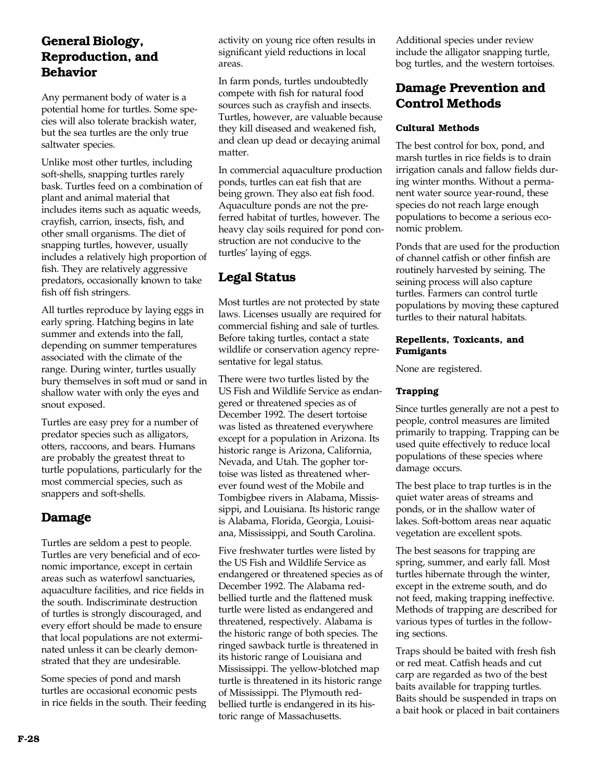# **General Biology, Reproduction, and Behavior**

Any permanent body of water is a potential home for turtles. Some species will also tolerate brackish water, but the sea turtles are the only true saltwater species.

Unlike most other turtles, including soft-shells, snapping turtles rarely bask. Turtles feed on a combination of plant and animal material that includes items such as aquatic weeds, crayfish, carrion, insects, fish, and other small organisms. The diet of snapping turtles, however, usually includes a relatively high proportion of fish. They are relatively aggressive predators, occasionally known to take fish off fish stringers.

All turtles reproduce by laying eggs in early spring. Hatching begins in late summer and extends into the fall, depending on summer temperatures associated with the climate of the range. During winter, turtles usually bury themselves in soft mud or sand in shallow water with only the eyes and snout exposed.

Turtles are easy prey for a number of predator species such as alligators, otters, raccoons, and bears. Humans are probably the greatest threat to turtle populations, particularly for the most commercial species, such as snappers and soft-shells.

### **Damage**

Turtles are seldom a pest to people. Turtles are very beneficial and of economic importance, except in certain areas such as waterfowl sanctuaries, aquaculture facilities, and rice fields in the south. Indiscriminate destruction of turtles is strongly discouraged, and every effort should be made to ensure that local populations are not exterminated unless it can be clearly demonstrated that they are undesirable.

Some species of pond and marsh turtles are occasional economic pests in rice fields in the south. Their feeding activity on young rice often results in significant yield reductions in local areas.

In farm ponds, turtles undoubtedly compete with fish for natural food sources such as crayfish and insects. Turtles, however, are valuable because they kill diseased and weakened fish, and clean up dead or decaying animal matter.

In commercial aquaculture production ponds, turtles can eat fish that are being grown. They also eat fish food. Aquaculture ponds are not the preferred habitat of turtles, however. The heavy clay soils required for pond construction are not conducive to the turtles' laying of eggs.

# **Legal Status**

Most turtles are not protected by state laws. Licenses usually are required for commercial fishing and sale of turtles. Before taking turtles, contact a state wildlife or conservation agency representative for legal status.

There were two turtles listed by the US Fish and Wildlife Service as endangered or threatened species as of December 1992. The desert tortoise was listed as threatened everywhere except for a population in Arizona. Its historic range is Arizona, California, Nevada, and Utah. The gopher tortoise was listed as threatened wherever found west of the Mobile and Tombigbee rivers in Alabama, Mississippi, and Louisiana. Its historic range is Alabama, Florida, Georgia, Louisiana, Mississippi, and South Carolina.

Five freshwater turtles were listed by the US Fish and Wildlife Service as endangered or threatened species as of December 1992. The Alabama redbellied turtle and the flattened musk turtle were listed as endangered and threatened, respectively. Alabama is the historic range of both species. The ringed sawback turtle is threatened in its historic range of Louisiana and Mississippi. The yellow-blotched map turtle is threatened in its historic range of Mississippi. The Plymouth redbellied turtle is endangered in its historic range of Massachusetts.

Additional species under review include the alligator snapping turtle, bog turtles, and the western tortoises.

# **Damage Prevention and Control Methods**

### **Cultural Methods**

The best control for box, pond, and marsh turtles in rice fields is to drain irrigation canals and fallow fields during winter months. Without a permanent water source year-round, these species do not reach large enough populations to become a serious economic problem.

Ponds that are used for the production of channel catfish or other finfish are routinely harvested by seining. The seining process will also capture turtles. Farmers can control turtle populations by moving these captured turtles to their natural habitats.

#### **Repellents, Toxicants, and Fumigants**

None are registered.

### **Trapping**

Since turtles generally are not a pest to people, control measures are limited primarily to trapping. Trapping can be used quite effectively to reduce local populations of these species where damage occurs.

The best place to trap turtles is in the quiet water areas of streams and ponds, or in the shallow water of lakes. Soft-bottom areas near aquatic vegetation are excellent spots.

The best seasons for trapping are spring, summer, and early fall. Most turtles hibernate through the winter, except in the extreme south, and do not feed, making trapping ineffective. Methods of trapping are described for various types of turtles in the following sections.

Traps should be baited with fresh fish or red meat. Catfish heads and cut carp are regarded as two of the best baits available for trapping turtles. Baits should be suspended in traps on a bait hook or placed in bait containers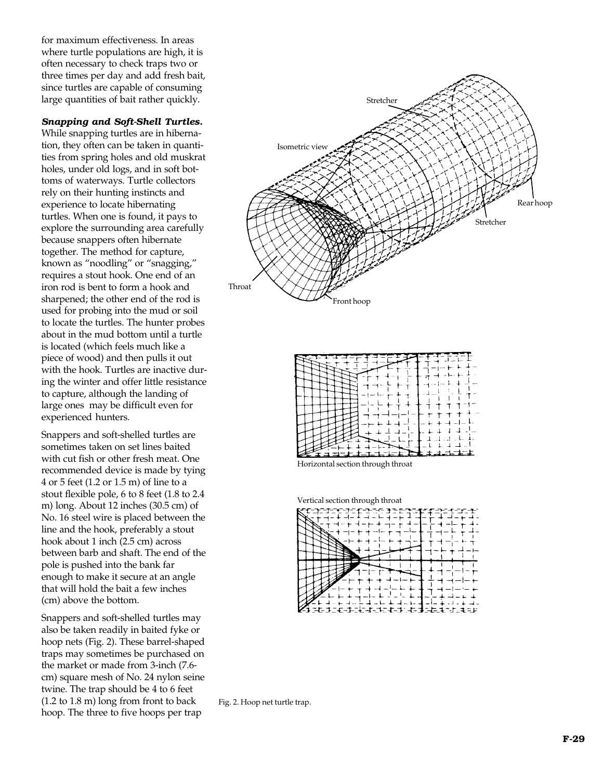for maximum effectiveness. In areas where turtle populations are high, it is often necessary to check traps two or three times per day and add fresh bait, since turtles are capable of consuming large quantities of bait rather quickly.

#### *Snapping and Soft-Shell Turtles.*

While snapping turtles are in hibernation, they often can be taken in quantities from spring holes and old muskrat holes, under old logs, and in soft bottoms of waterways. Turtle collectors rely on their hunting instincts and experience to locate hibernating turtles. When one is found, it pays to explore the surrounding area carefully because snappers often hibernate together. The method for capture, known as "noodling" or "snagging," requires a stout hook. One end of an iron rod is bent to form a hook and sharpened; the other end of the rod is used for probing into the mud or soil to locate the turtles. The hunter probes about in the mud bottom until a turtle is located (which feels much like a piece of wood) and then pulls it out with the hook. Turtles are inactive during the winter and offer little resistance to capture, although the landing of large ones may be difficult even for experienced hunters.

Snappers and soft-shelled turtles are sometimes taken on set lines baited with cut fish or other fresh meat. One recommended device is made by tying 4 or 5 feet (1.2 or 1.5 m) of line to a stout flexible pole, 6 to 8 feet (1.8 to 2.4 m) long. About 12 inches (30.5 cm) of No. 16 steel wire is placed between the line and the hook, preferably a stout hook about 1 inch (2.5 cm) across between barb and shaft. The end of the pole is pushed into the bank far enough to make it secure at an angle that will hold the bait a few inches (cm) above the bottom.

Snappers and soft-shelled turtles may also be taken readily in baited fyke or hoop nets (Fig. 2). These barrel-shaped traps may sometimes be purchased on the market or made from 3-inch (7.6 cm) square mesh of No. 24 nylon seine twine. The trap should be 4 to 6 feet (1.2 to 1.8 m) long from front to back hoop. The three to five hoops per trap



|  | $-$ |  |
|--|-----|--|
|  |     |  |
|  |     |  |
|  |     |  |
|  |     |  |
|  |     |  |
|  |     |  |
|  |     |  |
|  |     |  |
|  |     |  |
|  | Ē   |  |
|  |     |  |

Horizontal section through throat

Vertical section through throat

| z. | ÷. | :4-1: |  | stit≂ |  |  |  |
|----|----|-------|--|-------|--|--|--|

Fig. 2. Hoop net turtle trap.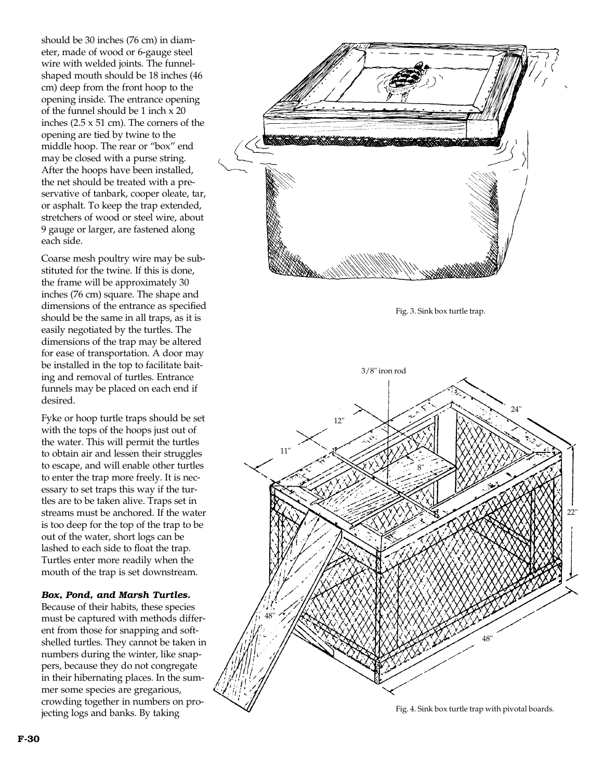should be 30 inches (76 cm) in diameter, made of wood or 6-gauge steel wire with welded joints. The funnelshaped mouth should be 18 inches (46 cm) deep from the front hoop to the opening inside. The entrance opening of the funnel should be 1 inch x 20 inches (2.5 x 51 cm). The corners of the opening are tied by twine to the middle hoop. The rear or "box" end may be closed with a purse string. After the hoops have been installed, the net should be treated with a preservative of tanbark, cooper oleate, tar, or asphalt. To keep the trap extended, stretchers of wood or steel wire, about 9 gauge or larger, are fastened along each side.

Coarse mesh poultry wire may be substituted for the twine. If this is done, the frame will be approximately 30 inches (76 cm) square. The shape and dimensions of the entrance as specified should be the same in all traps, as it is easily negotiated by the turtles. The dimensions of the trap may be altered for ease of transportation. A door may be installed in the top to facilitate baiting and removal of turtles. Entrance funnels may be placed on each end if desired.

Fyke or hoop turtle traps should be set with the tops of the hoops just out of the water. This will permit the turtles to obtain air and lessen their struggles to escape, and will enable other turtles to enter the trap more freely. It is necessary to set traps this way if the turtles are to be taken alive. Traps set in streams must be anchored. If the water is too deep for the top of the trap to be out of the water, short logs can be lashed to each side to float the trap. Turtles enter more readily when the mouth of the trap is set downstream.

#### *Box, Pond, and Marsh Turtles.*

Because of their habits, these species must be captured with methods different from those for snapping and softshelled turtles. They cannot be taken in numbers during the winter, like snappers, because they do not congregate in their hibernating places. In the summer some species are gregarious, crowding together in numbers on projecting logs and banks. By taking

Fig. 3. Sink box turtle trap.



Fig. 4. Sink box turtle trap with pivotal boards.